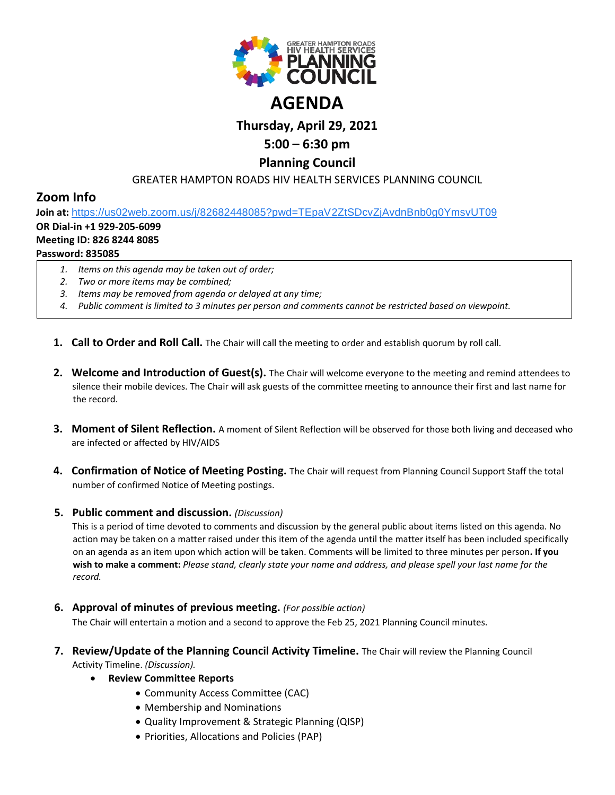

# **Thursday, April 29, 2021**

## **5:00 – 6:30 pm**

### **Planning Council**

#### GREATER HAMPTON ROADS HIV HEALTH SERVICES PLANNING COUNCIL

## **Zoom Info**

**Join at:** [https://us02web.zoom.us/j/82682448085?pwd=TEpaV2ZtSDcvZjAvdnBnb0g0YmsvUT09](https://www.google.com/url?q=https://us02web.zoom.us/j/82682448085?pwd%3DTEpaV2ZtSDcvZjAvdnBnb0g0YmsvUT09&sa=D&source=calendar&ust=1619875881860000&usg=AOvVaw0zwYUyYOogd54DiewQ0YcP)

#### **OR Dial-in +1 929-205-6099**

#### **Meeting ID: 826 8244 8085**

#### **Password: 835085**

- *1. Items on this agenda may be taken out of order;*
- *2. Two or more items may be combined;*
- *3. Items may be removed from agenda or delayed at any time;*
- *4. Public comment is limited to 3 minutes per person and comments cannot be restricted based on viewpoint.*
- **1. Call to Order and Roll Call.** The Chair will call the meeting to order and establish quorum by roll call.
- **2. Welcome and Introduction of Guest(s).** The Chair will welcome everyone to the meeting and remind attendees to silence their mobile devices. The Chair will ask guests of the committee meeting to announce their first and last name for the record.
- **3. Moment of Silent Reflection.** A moment of Silent Reflection will be observed for those both living and deceased who are infected or affected by HIV/AIDS
- **4. Confirmation of Notice of Meeting Posting.** The Chair will request from Planning Council Support Staff the total number of confirmed Notice of Meeting postings.

#### **5. Public comment and discussion.** *(Discussion)*

This is a period of time devoted to comments and discussion by the general public about items listed on this agenda. No action may be taken on a matter raised under this item of the agenda until the matter itself has been included specifically on an agenda as an item upon which action will be taken. Comments will be limited to three minutes per person**. If you wish to make a comment:** *Please stand, clearly state your name and address, and please spell your last name for the record.*

**6. Approval of minutes of previous meeting.** *(For possible action)*

The Chair will entertain a motion and a second to approve the Feb 25, 2021 Planning Council minutes.

- **7. Review/Update of the Planning Council Activity Timeline.** The Chair will review the Planning Council Activity Timeline. *(Discussion).*
	- **Review Committee Reports**
		- Community Access Committee (CAC)
		- Membership and Nominations
		- Quality Improvement & Strategic Planning (QISP)
		- Priorities, Allocations and Policies (PAP)